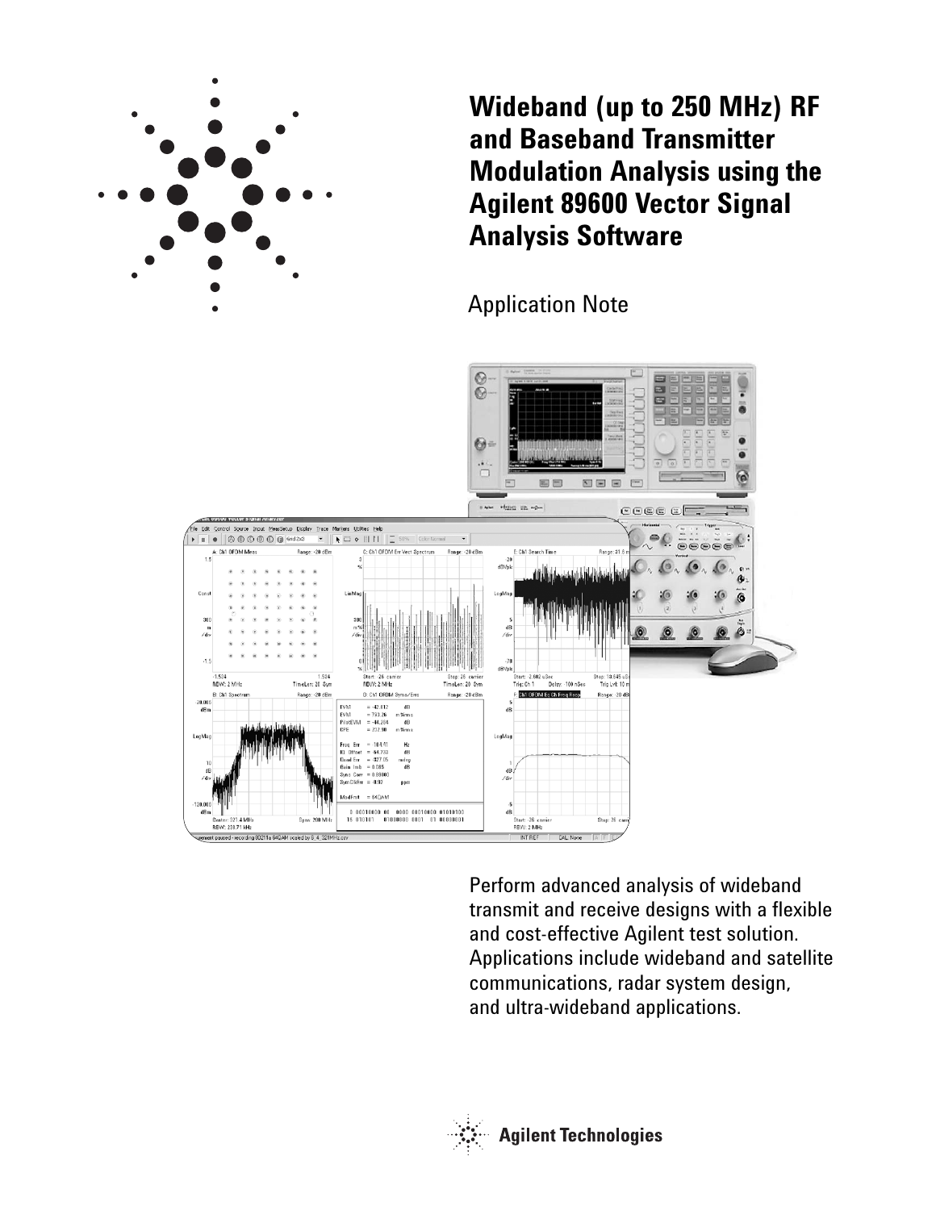

**Wideband (up to 250 MHz) RF and Baseband Transmitter Modulation Analysis using the Agilent 89600 Vector Signal Analysis Software**

Application Note



Perform advanced analysis of wideband transmit and receive designs with a flexible and cost-effective Agilent test solution. Applications include wideband and satellite communications, radar system design, and ultra-wideband applications.

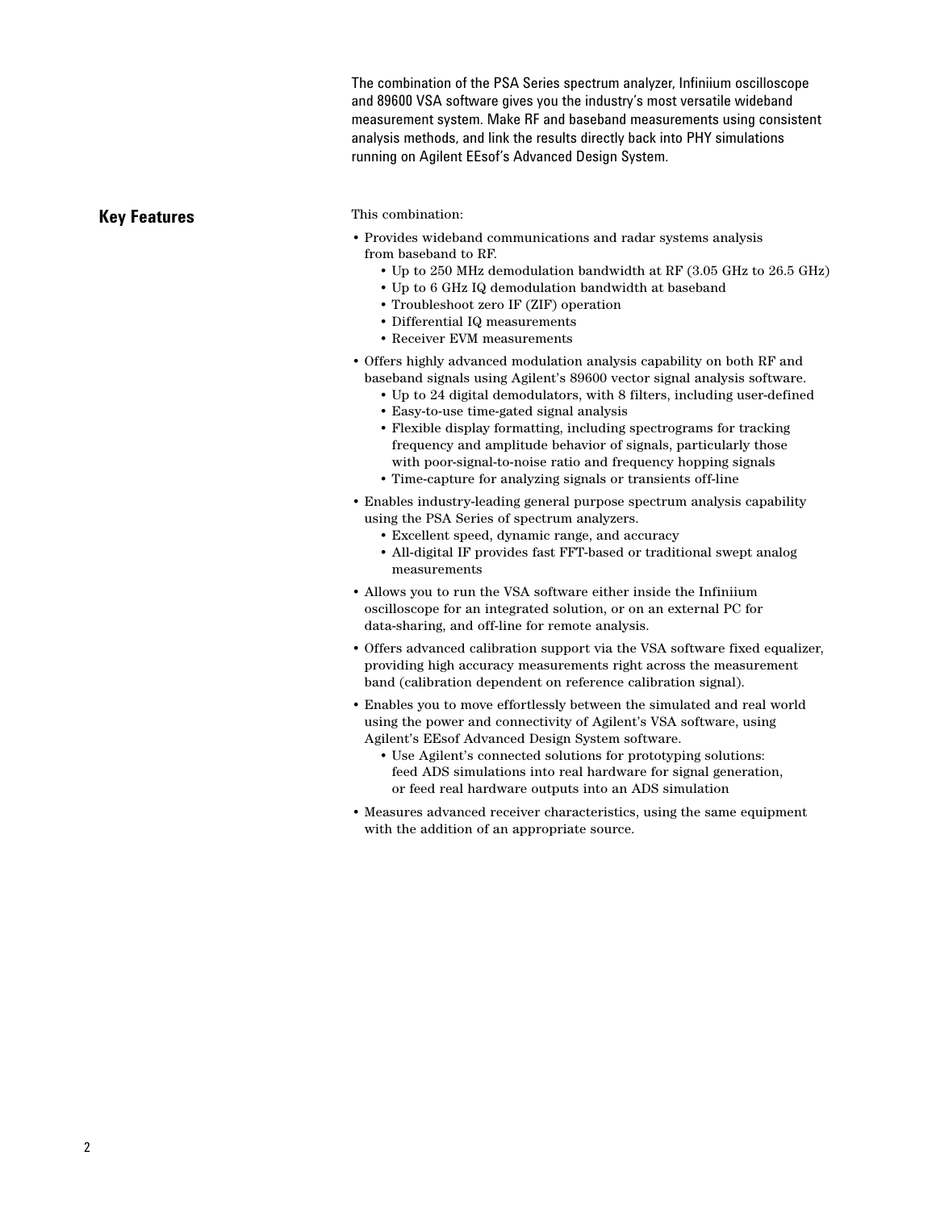The combination of the PSA Series spectrum analyzer, Infiniium oscilloscope and 89600 VSA software gives you the industry's most versatile wideband measurement system. Make RF and baseband measurements using consistent analysis methods, and link the results directly back into PHY simulations running on Agilent EEsof's Advanced Design System.

## **Key Features**

## This combination:

- Provides wideband communications and radar systems analysis from baseband to RF.
	- Up to 250 MHz demodulation bandwidth at RF (3.05 GHz to 26.5 GHz)
	- Up to 6 GHz IQ demodulation bandwidth at baseband
	- Troubleshoot zero IF (ZIF) operation
	- Differential IQ measurements
	- Receiver EVM measurements
- Offers highly advanced modulation analysis capability on both RF and baseband signals using Agilent's 89600 vector signal analysis software.
	- Up to 24 digital demodulators, with 8 filters, including user-defined
	- Easy-to-use time-gated signal analysis
	- Flexible display formatting, including spectrograms for tracking frequency and amplitude behavior of signals, particularly those with poor-signal-to-noise ratio and frequency hopping signals
	- Time-capture for analyzing signals or transients off-line
- Enables industry-leading general purpose spectrum analysis capability using the PSA Series of spectrum analyzers.
	- Excellent speed, dynamic range, and accuracy
	- All-digital IF provides fast FFT-based or traditional swept analog measurements
- Allows you to run the VSA software either inside the Infiniium oscilloscope for an integrated solution, or on an external PC for data-sharing, and off-line for remote analysis.
- Offers advanced calibration support via the VSA software fixed equalizer, providing high accuracy measurements right across the measurement band (calibration dependent on reference calibration signal).
- Enables you to move effortlessly between the simulated and real world using the power and connectivity of Agilent's VSA software, using Agilent's EEsof Advanced Design System software.
	- Use Agilent's connected solutions for prototyping solutions: feed ADS simulations into real hardware for signal generation, or feed real hardware outputs into an ADS simulation
- Measures advanced receiver characteristics, using the same equipment with the addition of an appropriate source.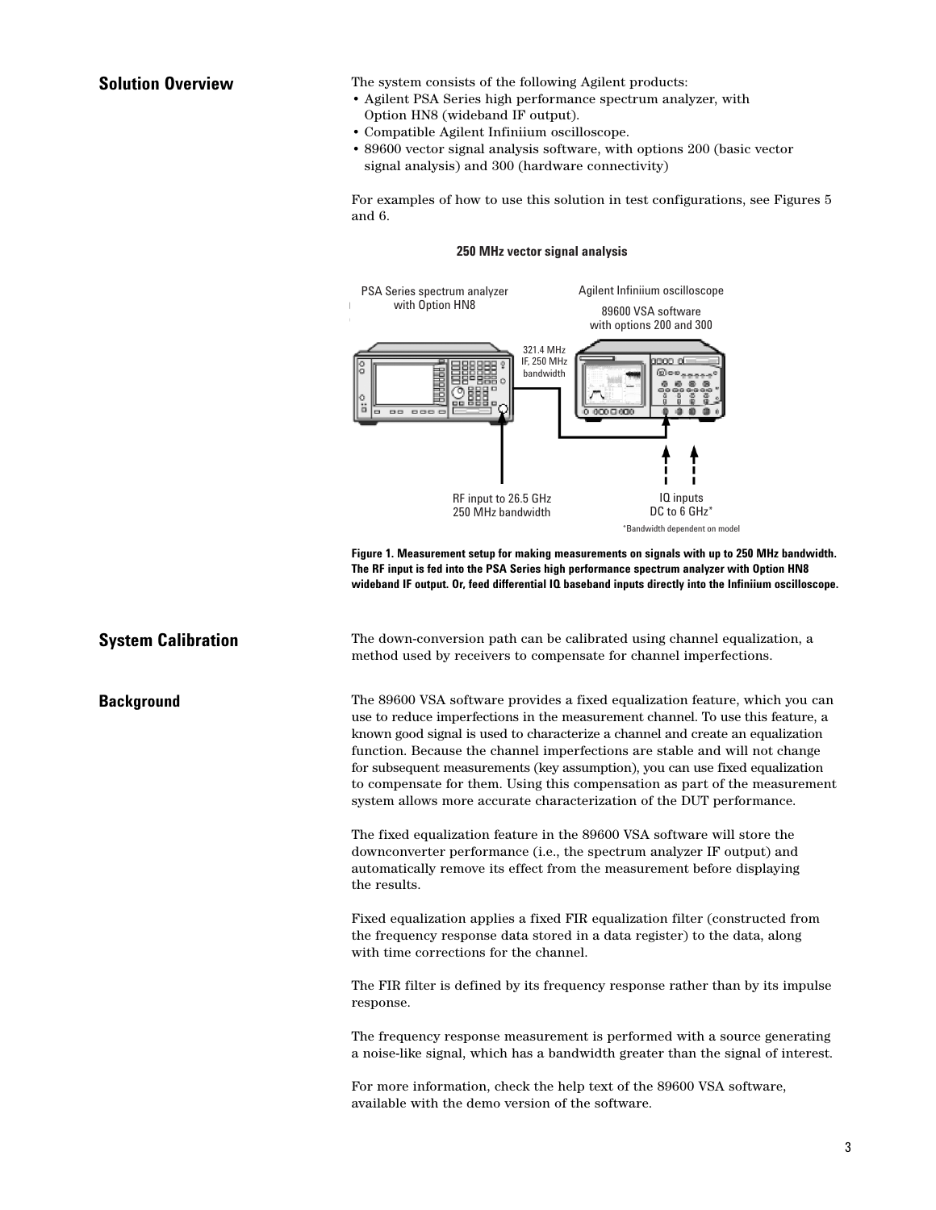# **Solution Overview**

**Background**

**System Calibration**

The system consists of the following Agilent products:

- Agilent PSA Series high performance spectrum analyzer, with Option HN8 (wideband IF output).
- Compatible Agilent Infiniium oscilloscope.
- 89600 vector signal analysis software, with options 200 (basic vector signal analysis) and 300 (hardware connectivity)

For examples of how to use this solution in test configurations, see Figures 5 and 6.

### **250 MHz vector signal analysis**



**Figure 1. Measurement setup for making measurements on signals with up to 250 MHz bandwidth. The RF input is fed into the PSA Series high performance spectrum analyzer with Option HN8 wideband IF output. Or, feed differential IQ baseband inputs directly into the Infiniium oscilloscope.**

The down-conversion path can be calibrated using channel equalization, a method used by receivers to compensate for channel imperfections.

The 89600 VSA software provides a fixed equalization feature, which you can use to reduce imperfections in the measurement channel. To use this feature, a known good signal is used to characterize a channel and create an equalization function. Because the channel imperfections are stable and will not change for subsequent measurements (key assumption), you can use fixed equalization to compensate for them. Using this compensation as part of the measurement system allows more accurate characterization of the DUT performance.

The fixed equalization feature in the 89600 VSA software will store the downconverter performance (i.e., the spectrum analyzer IF output) and automatically remove its effect from the measurement before displaying the results.

Fixed equalization applies a fixed FIR equalization filter (constructed from the frequency response data stored in a data register) to the data, along with time corrections for the channel.

The FIR filter is defined by its frequency response rather than by its impulse response.

The frequency response measurement is performed with a source generating a noise-like signal, which has a bandwidth greater than the signal of interest.

For more information, check the help text of the 89600 VSA software, available with the demo version of the software.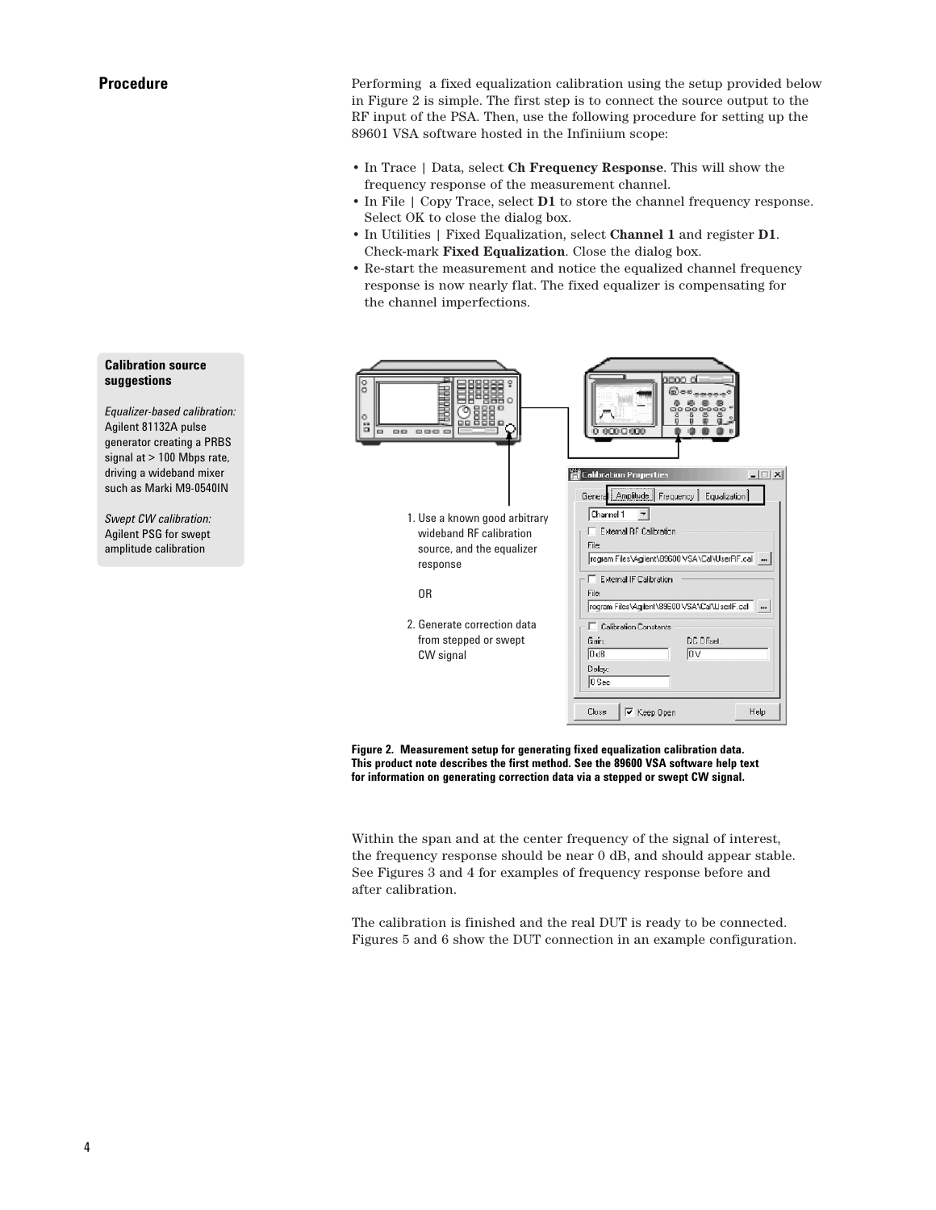Performing a fixed equalization calibration using the setup provided below in Figure 2 is simple. The first step is to connect the source output to the RF input of the PSA. Then, use the following procedure for setting up the 89601 VSA software hosted in the Infiniium scope:

- In Trace | Data, select **Ch Frequency Response**. This will show the frequency response of the measurement channel.
- In File | Copy Trace, select **D1** to store the channel frequency response. Select OK to close the dialog box.
- In Utilities | Fixed Equalization, select **Channel 1** and register **D1**. Check-mark **Fixed Equalization**. Close the dialog box.
- Re-start the measurement and notice the equalized channel frequency response is now nearly flat. The fixed equalizer is compensating for the channel imperfections.



**Figure 2. Measurement setup for generating fixed equalization calibration data. This product note describes the first method. See the 89600 VSA software help text for information on generating correction data via a stepped or swept CW signal.**

Within the span and at the center frequency of the signal of interest, the frequency response should be near 0 dB, and should appear stable. See Figures 3 and 4 for examples of frequency response before and after calibration.

The calibration is finished and the real DUT is ready to be connected. Figures 5 and 6 show the DUT connection in an example configuration.

## **Calibration source suggestions**

*Equalizer-based calibration:* Agilent 81132A pulse generator creating a PRBS signal at > 100 Mbps rate, driving a wideband mixer such as Marki M9-0540IN

*Swept CW calibration:* Agilent PSG for swept amplitude calibration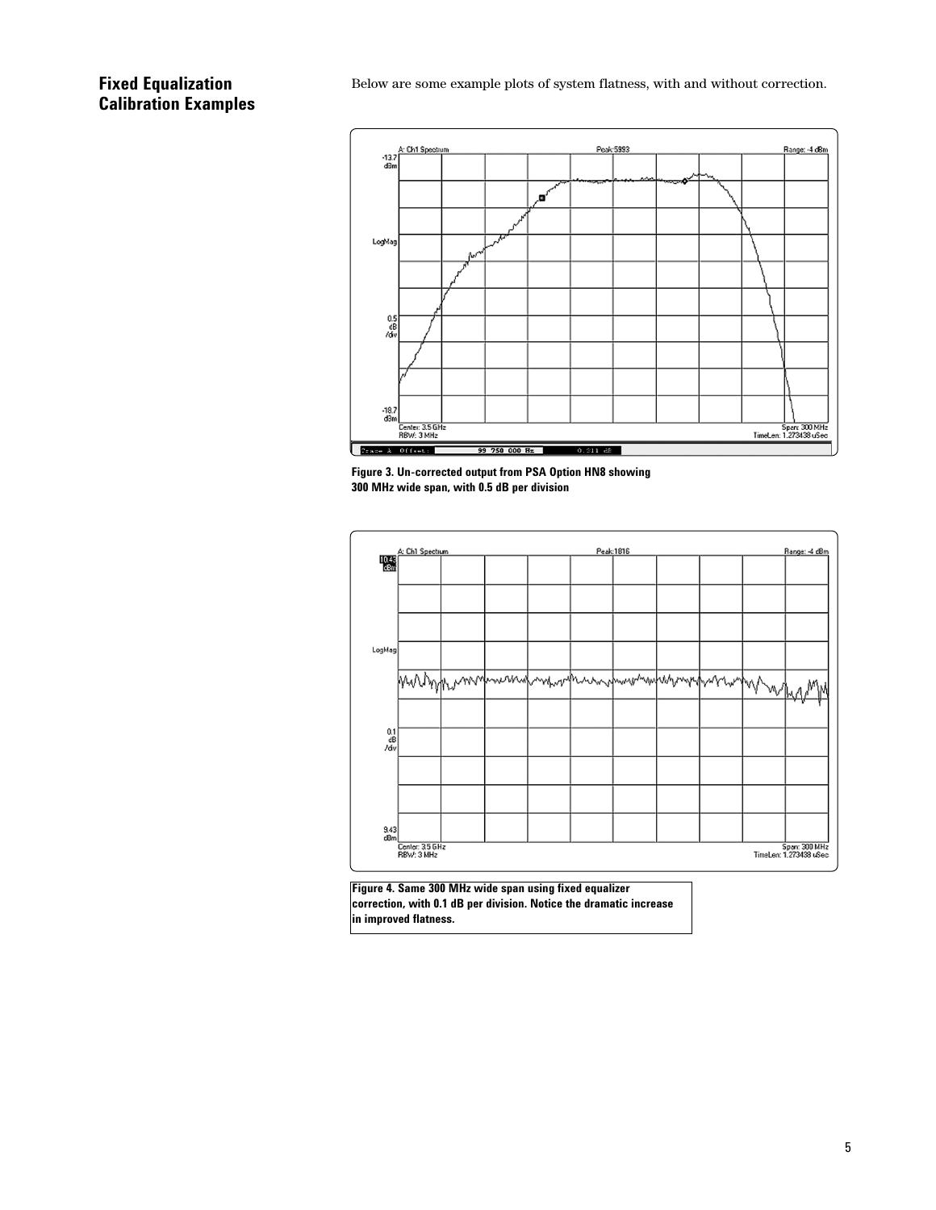# **Fixed Equalization Calibration Examples**

Below are some example plots of system flatness, with and without correction.



**Figure 3. Un-corrected output from PSA Option HN8 showing 300 MHz wide span, with 0.5 dB per division**



**Figure 4. Same 300 MHz wide span using fixed equalizer correction, with 0.1 dB per division. Notice the dramatic increase in improved flatness.**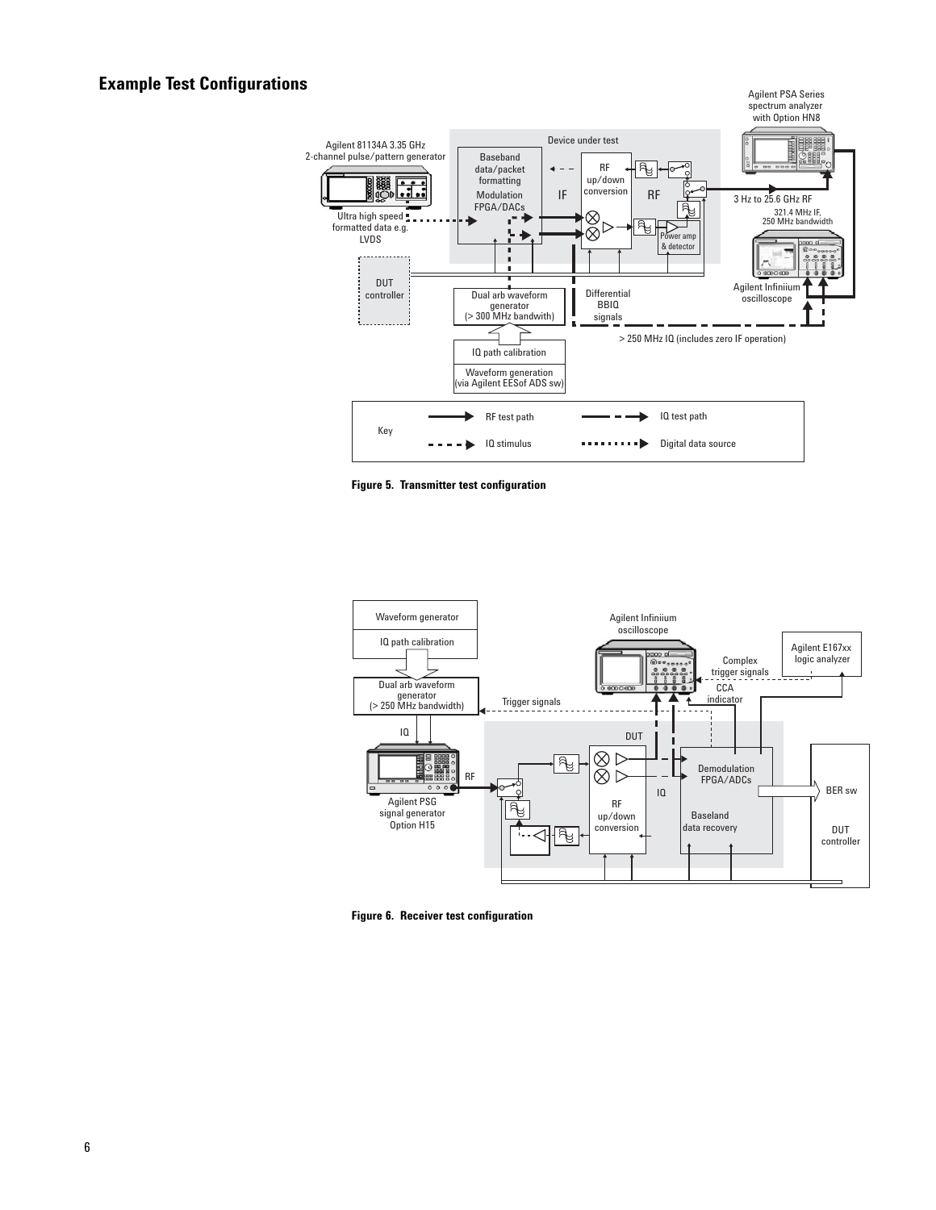# **Example Test Configurations**







**Figure 6. Receiver test configuration**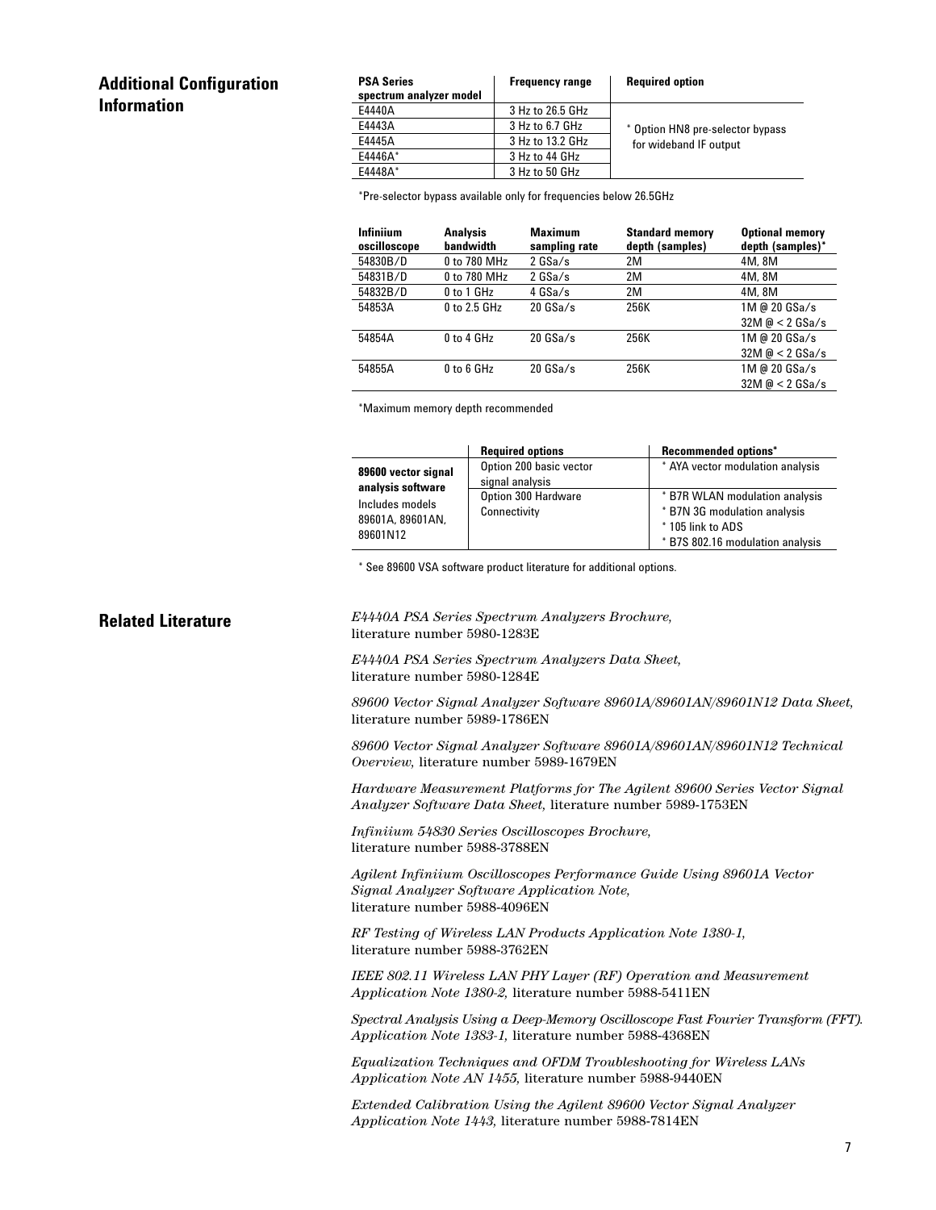# **Additional Configuration Information**

| <b>PSA Series</b><br>spectrum analyzer model | <b>Frequency range</b> | <b>Required option</b>                                     |  |
|----------------------------------------------|------------------------|------------------------------------------------------------|--|
| E4440A                                       | 3 Hz to 26.5 GHz       |                                                            |  |
| F4443A                                       | 3 Hz to 6.7 GHz        | * Option HN8 pre-selector bypass<br>for wideband IF output |  |
| E4445A                                       | 3 Hz to 13.2 GHz       |                                                            |  |
| F4446A*                                      | 3 Hz to 44 GHz         |                                                            |  |
| F4448A*                                      | 3 Hz to 50 GHz         |                                                            |  |
|                                              |                        |                                                            |  |

\*Pre-selector bypass available only for frequencies below 26.5GHz

| Infiniium<br>oscilloscope | <b>Analysis</b><br>bandwidth | <b>Maximum</b><br>sampling rate | <b>Standard memory</b><br>depth (samples) | <b>Optional memory</b><br>depth (samples)* |
|---------------------------|------------------------------|---------------------------------|-------------------------------------------|--------------------------------------------|
| 54830B/D                  | 0 to 780 MHz                 | $2$ GSa/s                       | 2M                                        | 4M, 8M                                     |
| 54831B/D                  | 0 to 780 MHz                 | $2$ GSa/s                       | 2M                                        | 4M, 8M                                     |
| 54832B/D                  | 0 to 1 GHz                   | 4 GSa/s                         | 2M                                        | 4M, 8M                                     |
| 54853A                    | $0$ to 2.5 GHz               | $20$ GSa/s                      | 256K                                      | 1M @ 20 GSa/s                              |
|                           |                              |                                 |                                           | $32M \odot 2GSa/s$                         |
| 54854A                    | $0$ to 4 GHz                 | $20$ GSa/s                      | 256K                                      | 1M @ 20 GSa/s                              |
|                           |                              |                                 |                                           | $32M \odot 2GSa/s$                         |
| 54855A                    | $0$ to 6 GHz                 | $20$ GSa/s                      | 256K                                      | 1M @ 20 GSa/s                              |
|                           |                              |                                 |                                           | $32M \odot 2GSa/s$                         |

\*Maximum memory depth recommended

|                                                                                                                                                       | <b>Required options</b> | <b>Recommended options*</b>                                                                                            |
|-------------------------------------------------------------------------------------------------------------------------------------------------------|-------------------------|------------------------------------------------------------------------------------------------------------------------|
| 89600 vector signal<br>signal analysis<br>analysis software<br>Option 300 Hardware<br>Includes models<br>Connectivity<br>89601A, 89601AN,<br>89601N12 | Option 200 basic vector | * AYA vector modulation analysis                                                                                       |
|                                                                                                                                                       |                         | * B7R WLAN modulation analysis<br>* B7N 3G modulation analysis<br>*105 link to ADS<br>* B7S 802.16 modulation analysis |

\* See 89600 VSA software product literature for additional options.

**Related Literature** *E4440A PSA Series Spectrum Analyzers Brochure,* literature number 5980-1283E

> *E4440A PSA Series Spectrum Analyzers Data Sheet,* literature number 5980-1284E

*89600 Vector Signal Analyzer Software 89601A/89601AN/89601N12 Data Sheet,* literature number 5989-1786EN

*89600 Vector Signal Analyzer Software 89601A/89601AN/89601N12 Technical Overview,* literature number 5989-1679EN

*Hardware Measurement Platforms for The Agilent 89600 Series Vector Signal Analyzer Software Data Sheet,* literature number 5989-1753EN

*Infiniium 54830 Series Oscilloscopes Brochure,* literature number 5988-3788EN

*Agilent Infiniium Oscilloscopes Performance Guide Using 89601A Vector Signal Analyzer Software Application Note,* literature number 5988-4096EN

*RF Testing of Wireless LAN Products Application Note 1380-1,* literature number 5988-3762EN

*IEEE 802.11 Wireless LAN PHY Layer (RF) Operation and Measurement Application Note 1380-2,* literature number 5988-5411EN

*Spectral Analysis Using a Deep-Memory Oscilloscope Fast Fourier Transform (FFT). Application Note 1383-1,* literature number 5988-4368EN

*Equalization Techniques and OFDM Troubleshooting for Wireless LANs Application Note AN 1455,* literature number 5988-9440EN

*Extended Calibration Using the Agilent 89600 Vector Signal Analyzer Application Note 1443,* literature number 5988-7814EN